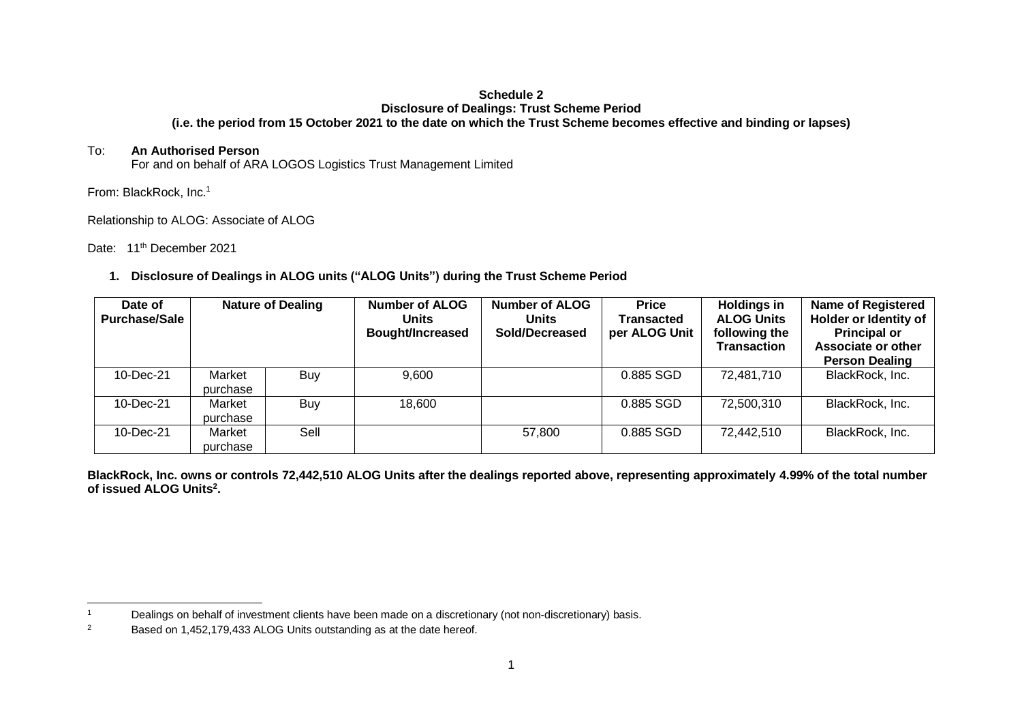#### **Schedule 2 Disclosure of Dealings: Trust Scheme Period (i.e. the period from 15 October 2021 to the date on which the Trust Scheme becomes effective and binding or lapses)**

### To: **An Authorised Person**

For and on behalf of ARA LOGOS Logistics Trust Management Limited

From: BlackRock, Inc.<sup>1</sup>

Relationship to ALOG: Associate of ALOG

Date: 11<sup>th</sup> December 2021

## **1. Disclosure of Dealings in ALOG units ("ALOG Units") during the Trust Scheme Period**

| Date of<br><b>Purchase/Sale</b> |                    | <b>Nature of Dealing</b> | Number of ALOG<br><b>Units</b><br><b>Bought/Increased</b> | <b>Number of ALOG</b><br><b>Units</b><br>Sold/Decreased | <b>Price</b><br><b>Transacted</b><br>per ALOG Unit | <b>Holdings in</b><br><b>ALOG Units</b><br>following the<br><b>Transaction</b> | <b>Name of Registered</b><br>Holder or Identity of<br><b>Principal or</b><br>Associate or other<br><b>Person Dealing</b> |
|---------------------------------|--------------------|--------------------------|-----------------------------------------------------------|---------------------------------------------------------|----------------------------------------------------|--------------------------------------------------------------------------------|--------------------------------------------------------------------------------------------------------------------------|
| 10-Dec-21                       | Market<br>purchase | Buy                      | 9,600                                                     |                                                         | 0.885 SGD                                          | 72,481,710                                                                     | BlackRock, Inc.                                                                                                          |
| 10-Dec-21                       | Market<br>purchase | Buy                      | 18,600                                                    |                                                         | 0.885 SGD                                          | 72,500,310                                                                     | BlackRock, Inc.                                                                                                          |
| 10-Dec-21                       | Market<br>purchase | Sell                     |                                                           | 57,800                                                  | 0.885 SGD                                          | 72.442.510                                                                     | BlackRock, Inc.                                                                                                          |

**BlackRock, Inc. owns or controls 72,442,510 ALOG Units after the dealings reported above, representing approximately 4.99% of the total number of issued ALOG Units<sup>2</sup> .** 

<sup>1</sup> Dealings on behalf of investment clients have been made on a discretionary (not non-discretionary) basis.

<sup>&</sup>lt;sup>2</sup> Based on 1,452,179,433 ALOG Units outstanding as at the date hereof.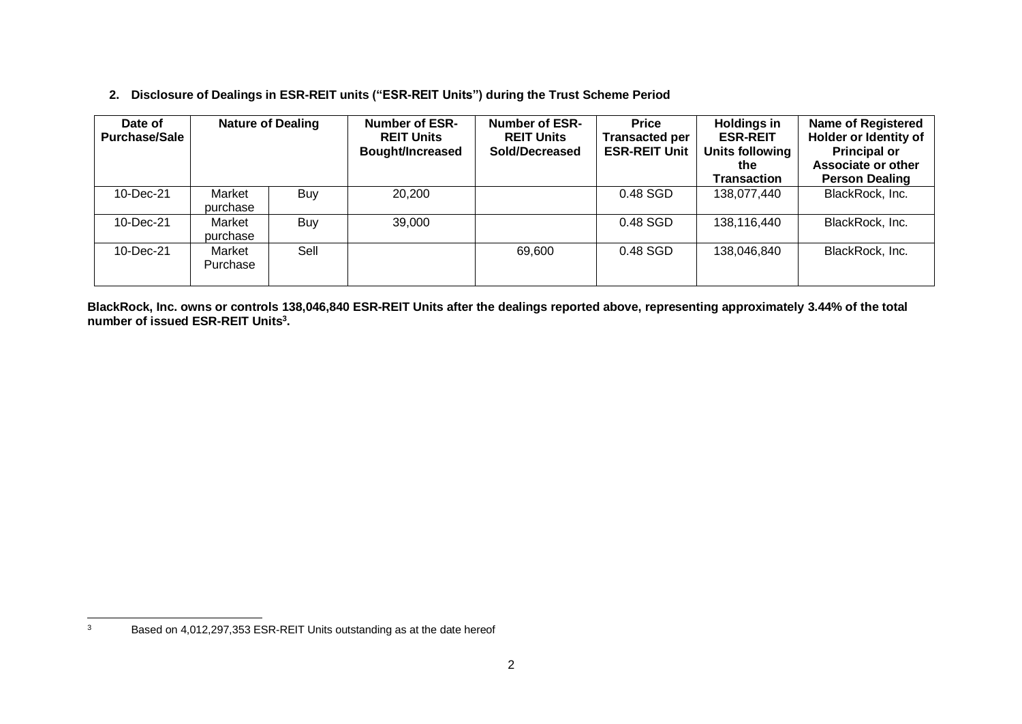# **2. Disclosure of Dealings in ESR-REIT units ("ESR-REIT Units") during the Trust Scheme Period**

| Date of<br><b>Purchase/Sale</b> | <b>Nature of Dealing</b> |      | <b>Number of ESR-</b><br><b>REIT Units</b><br><b>Bought/Increased</b> | <b>Number of ESR-</b><br><b>REIT Units</b><br>Sold/Decreased | <b>Price</b><br><b>Transacted per</b><br><b>ESR-REIT Unit</b> | <b>Holdings in</b><br><b>ESR-REIT</b><br>Units following<br>the<br><b>Transaction</b> | <b>Name of Registered</b><br>Holder or Identity of<br><b>Principal or</b><br>Associate or other<br><b>Person Dealing</b> |
|---------------------------------|--------------------------|------|-----------------------------------------------------------------------|--------------------------------------------------------------|---------------------------------------------------------------|---------------------------------------------------------------------------------------|--------------------------------------------------------------------------------------------------------------------------|
| 10-Dec-21                       | Market<br>purchase       | Buy  | 20,200                                                                |                                                              | 0.48 SGD                                                      | 138,077,440                                                                           | BlackRock, Inc.                                                                                                          |
| 10-Dec-21                       | Market<br>purchase       | Buy  | 39,000                                                                |                                                              | 0.48 SGD                                                      | 138,116,440                                                                           | BlackRock, Inc.                                                                                                          |
| 10-Dec-21                       | Market<br>Purchase       | Sell |                                                                       | 69,600                                                       | 0.48 SGD                                                      | 138,046,840                                                                           | BlackRock, Inc.                                                                                                          |

**BlackRock, Inc. owns or controls 138,046,840 ESR-REIT Units after the dealings reported above, representing approximately 3.44% of the total number of issued ESR-REIT Units<sup>3</sup> .** 

<sup>&</sup>lt;sup>3</sup> Based on 4,012,297,353 ESR-REIT Units outstanding as at the date hereof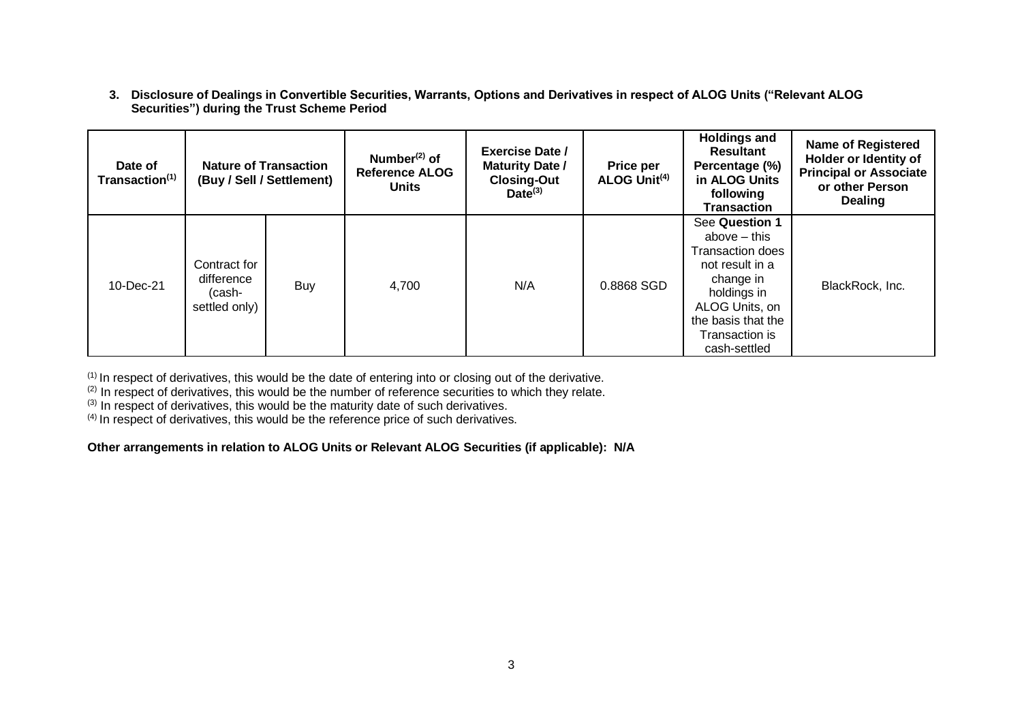**3. Disclosure of Dealings in Convertible Securities, Warrants, Options and Derivatives in respect of ALOG Units ("Relevant ALOG Securities") during the Trust Scheme Period**

| Date of<br>Transaction <sup>(1)</sup> | <b>Nature of Transaction</b><br>(Buy / Sell / Settlement) |     | Number $(2)$ of<br><b>Reference ALOG</b><br><b>Units</b> | <b>Exercise Date /</b><br><b>Maturity Date /</b><br><b>Closing-Out</b><br>$Date^{(3)}$ | Price per<br>ALOG Unit <sup>(4)</sup> | <b>Holdings and</b><br><b>Resultant</b><br>Percentage (%)<br>in ALOG Units<br>following<br><b>Transaction</b>                                                                        | <b>Name of Registered</b><br>Holder or Identity of<br><b>Principal or Associate</b><br>or other Person<br><b>Dealing</b> |
|---------------------------------------|-----------------------------------------------------------|-----|----------------------------------------------------------|----------------------------------------------------------------------------------------|---------------------------------------|--------------------------------------------------------------------------------------------------------------------------------------------------------------------------------------|--------------------------------------------------------------------------------------------------------------------------|
| 10-Dec-21                             | Contract for<br>difference<br>(cash-<br>settled only)     | Buy | 4,700                                                    | N/A                                                                                    | 0.8868 SGD                            | See Question 1<br>above $-$ this<br><b>Transaction does</b><br>not result in a<br>change in<br>holdings in<br>ALOG Units, on<br>the basis that the<br>Transaction is<br>cash-settled | BlackRock, Inc.                                                                                                          |

 $(1)$  In respect of derivatives, this would be the date of entering into or closing out of the derivative.

<sup>(2)</sup> In respect of derivatives, this would be the number of reference securities to which they relate.

(3) In respect of derivatives, this would be the maturity date of such derivatives.

 $(4)$  In respect of derivatives, this would be the reference price of such derivatives.

**Other arrangements in relation to ALOG Units or Relevant ALOG Securities (if applicable): N/A**